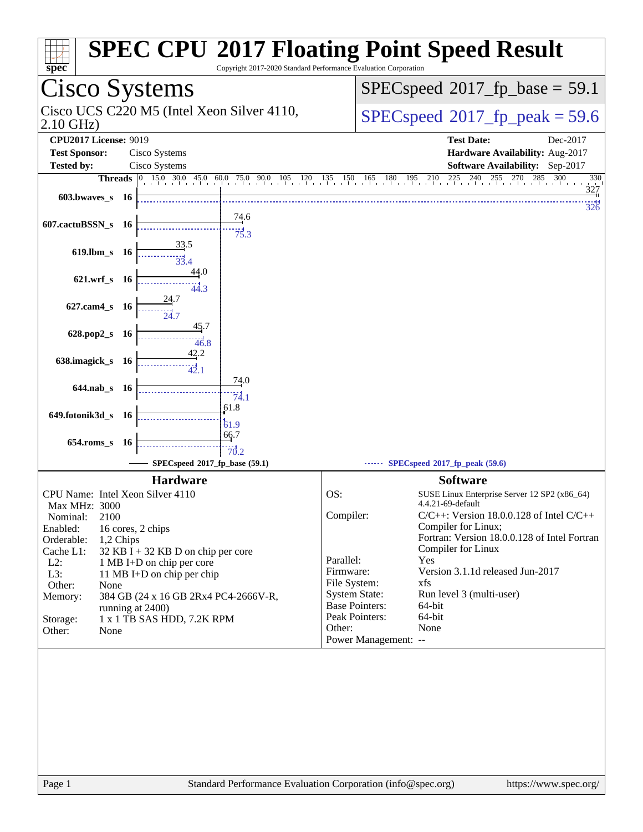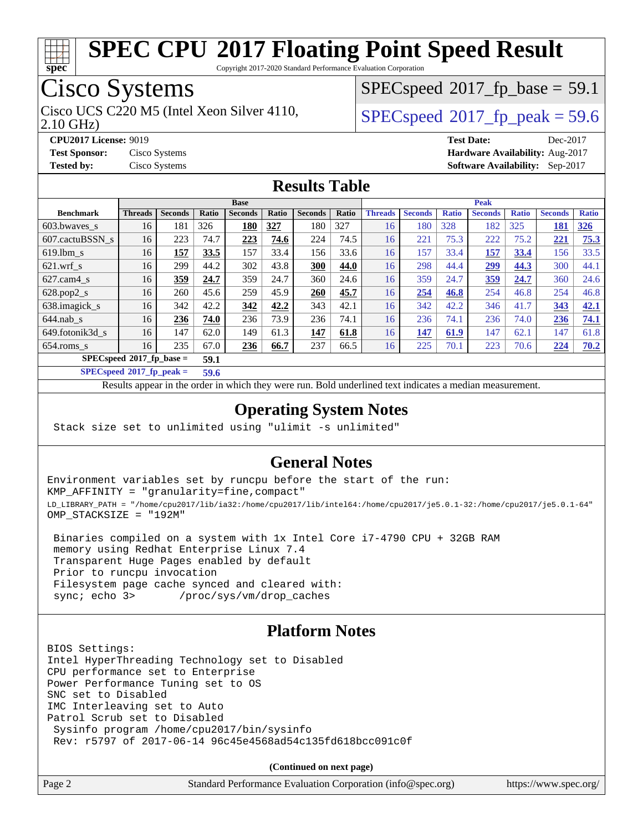

Copyright 2017-2020 Standard Performance Evaluation Corporation

## Cisco Systems

2.10 GHz) Cisco UCS C220 M5 (Intel Xeon Silver 4110,  $\vert$  [SPECspeed](http://www.spec.org/auto/cpu2017/Docs/result-fields.html#SPECspeed2017fppeak)®[2017\\_fp\\_peak = 5](http://www.spec.org/auto/cpu2017/Docs/result-fields.html#SPECspeed2017fppeak)9.6

 $SPECspeed^{\circledcirc}2017$  $SPECspeed^{\circledcirc}2017$  fp base = 59.1

**[CPU2017 License:](http://www.spec.org/auto/cpu2017/Docs/result-fields.html#CPU2017License)** 9019 **[Test Date:](http://www.spec.org/auto/cpu2017/Docs/result-fields.html#TestDate)** Dec-2017 **[Test Sponsor:](http://www.spec.org/auto/cpu2017/Docs/result-fields.html#TestSponsor)** Cisco Systems **[Hardware Availability:](http://www.spec.org/auto/cpu2017/Docs/result-fields.html#HardwareAvailability)** Aug-2017 **[Tested by:](http://www.spec.org/auto/cpu2017/Docs/result-fields.html#Testedby)** Cisco Systems **[Software Availability:](http://www.spec.org/auto/cpu2017/Docs/result-fields.html#SoftwareAvailability)** Sep-2017

#### **[Results Table](http://www.spec.org/auto/cpu2017/Docs/result-fields.html#ResultsTable)**

|                             | <b>Base</b>    |                |       |                |              | <b>Peak</b>    |       |                |                |              |                |              |                |              |
|-----------------------------|----------------|----------------|-------|----------------|--------------|----------------|-------|----------------|----------------|--------------|----------------|--------------|----------------|--------------|
| <b>Benchmark</b>            | <b>Threads</b> | <b>Seconds</b> | Ratio | <b>Seconds</b> | <b>Ratio</b> | <b>Seconds</b> | Ratio | <b>Threads</b> | <b>Seconds</b> | <b>Ratio</b> | <b>Seconds</b> | <b>Ratio</b> | <b>Seconds</b> | <b>Ratio</b> |
| $603.bwaves$ s              | 16             | 181            | 326   | 180            | 327          | 180            | 327   | 16             | 180            | 328          | 182            | 325          | 181            | <u>326</u>   |
| 607.cactuBSSN s             | 16             | 223            | 74.7  | 223            | 74.6         | 224            | 74.5  | 16             | 221            | 75.3         | 222            | 75.2         | 221            | 75.3         |
| $619.1$ bm s                | 16             | 157            | 33.5  | 157            | 33.4         | 156            | 33.6  | 16             | 157            | 33.4         | <u>157</u>     | 33.4         | 156            | 33.5         |
| $621$ .wrf s                | 16             | 299            | 44.2  | 302            | 43.8         | 300            | 44.0  | 16             | 298            | 44.4         | <u>299</u>     | 44.3         | 300            | 44.1         |
| $627$ .cam $4 \text{ s}$    | 16             | 359            | 24.7  | 359            | 24.7         | 360            | 24.6  | 16             | 359            | 24.7         | 359            | 24.7         | 360            | 24.6         |
| $628.pop2_s$                | 16             | 260            | 45.6  | 259            | 45.9         | 260            | 45.7  | 16             | 254            | 46.8         | 254            | 46.8         | 254            | 46.8         |
| 638.imagick_s               | 16             | 342            | 42.2  | 342            | 42.2         | 343            | 42.1  | 16             | 342            | 42.2         | 346            | 41.7         | 343            | 42.1         |
| $644$ .nab s                | 16             | 236            | 74.0  | 236            | 73.9         | 236            | 74.1  | 16             | 236            | 74.1         | 236            | 74.0         | 236            | 74.1         |
| 649.fotonik3d s             | 16             | 147            | 62.0  | 149            | 61.3         | 147            | 61.8  | 16             | 147            | 61.9         | 147            | 62.1         | 147            | 61.8         |
| $654$ .roms s               | 16             | 235            | 67.0  | <b>236</b>     | 66.7         | 237            | 66.5  | 16             | 225            | 70.1         | 223            | 70.6         | 224            | 70.2         |
| $SPECspeed^*2017$ fp base = |                |                | 59.1  |                |              |                |       |                |                |              |                |              |                |              |

**[SPECspeed](http://www.spec.org/auto/cpu2017/Docs/result-fields.html#SPECspeed2017fppeak)[2017\\_fp\\_peak =](http://www.spec.org/auto/cpu2017/Docs/result-fields.html#SPECspeed2017fppeak) 59.6**

Results appear in the [order in which they were run.](http://www.spec.org/auto/cpu2017/Docs/result-fields.html#RunOrder) Bold underlined text [indicates a median measurement](http://www.spec.org/auto/cpu2017/Docs/result-fields.html#Median).

#### **[Operating System Notes](http://www.spec.org/auto/cpu2017/Docs/result-fields.html#OperatingSystemNotes)**

Stack size set to unlimited using "ulimit -s unlimited"

#### **[General Notes](http://www.spec.org/auto/cpu2017/Docs/result-fields.html#GeneralNotes)**

Environment variables set by runcpu before the start of the run: KMP\_AFFINITY = "granularity=fine,compact" LD\_LIBRARY\_PATH = "/home/cpu2017/lib/ia32:/home/cpu2017/lib/intel64:/home/cpu2017/je5.0.1-32:/home/cpu2017/je5.0.1-64" OMP\_STACKSIZE = "192M"

 Binaries compiled on a system with 1x Intel Core i7-4790 CPU + 32GB RAM memory using Redhat Enterprise Linux 7.4 Transparent Huge Pages enabled by default Prior to runcpu invocation Filesystem page cache synced and cleared with: sync; echo 3> /proc/sys/vm/drop\_caches

#### **[Platform Notes](http://www.spec.org/auto/cpu2017/Docs/result-fields.html#PlatformNotes)**

BIOS Settings: Intel HyperThreading Technology set to Disabled CPU performance set to Enterprise Power Performance Tuning set to OS SNC set to Disabled IMC Interleaving set to Auto Patrol Scrub set to Disabled Sysinfo program /home/cpu2017/bin/sysinfo Rev: r5797 of 2017-06-14 96c45e4568ad54c135fd618bcc091c0f

**(Continued on next page)**

| Page 2 | Standard Performance Evaluation Corporation (info@spec.org) | https://www.spec.org/ |
|--------|-------------------------------------------------------------|-----------------------|
|--------|-------------------------------------------------------------|-----------------------|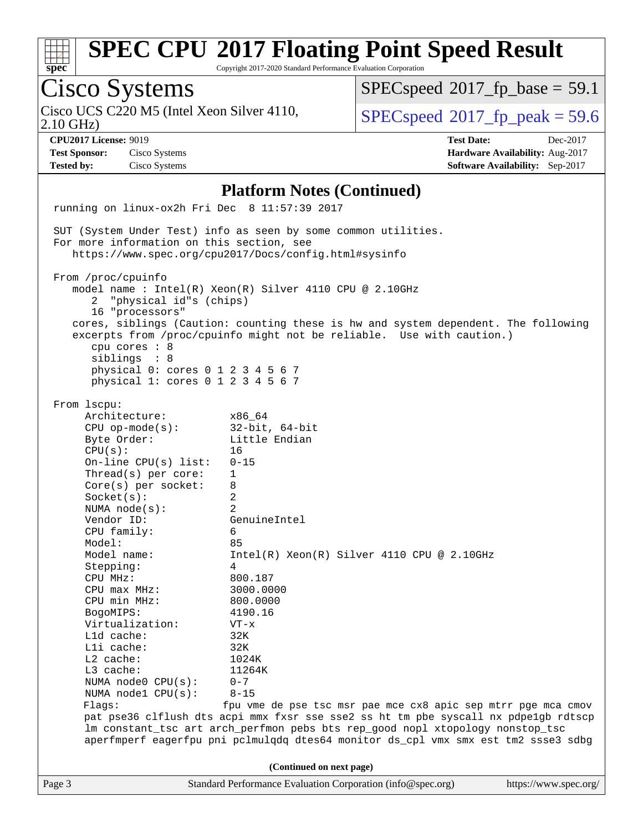| S1 | Dе | L. |  |
|----|----|----|--|

Cisco Systems

# **[SPEC CPU](http://www.spec.org/auto/cpu2017/Docs/result-fields.html#SPECCPU2017FloatingPointSpeedResult)[2017 Floating Point Speed Result](http://www.spec.org/auto/cpu2017/Docs/result-fields.html#SPECCPU2017FloatingPointSpeedResult)**

 $SPECspeed*2017_fp\_base = 59.1$  $SPECspeed*2017_fp\_base = 59.1$ 

Copyright 2017-2020 Standard Performance Evaluation Corporation

Page 3 Standard Performance Evaluation Corporation [\(info@spec.org\)](mailto:info@spec.org) <https://www.spec.org/> Cisco UCS C220 M5 (Intel Xeon Silver 4110,<br>2.10 GHz)  $SPECspeed^{\circ}2017\_fp\_peak = 59.6$  $SPECspeed^{\circ}2017\_fp\_peak = 59.6$ **[CPU2017 License:](http://www.spec.org/auto/cpu2017/Docs/result-fields.html#CPU2017License)** 9019 **[Test Date:](http://www.spec.org/auto/cpu2017/Docs/result-fields.html#TestDate)** Dec-2017 **[Test Sponsor:](http://www.spec.org/auto/cpu2017/Docs/result-fields.html#TestSponsor)** Cisco Systems **[Hardware Availability:](http://www.spec.org/auto/cpu2017/Docs/result-fields.html#HardwareAvailability)** Aug-2017 **[Tested by:](http://www.spec.org/auto/cpu2017/Docs/result-fields.html#Testedby)** Cisco Systems **[Software Availability:](http://www.spec.org/auto/cpu2017/Docs/result-fields.html#SoftwareAvailability)** Sep-2017 **[Platform Notes \(Continued\)](http://www.spec.org/auto/cpu2017/Docs/result-fields.html#PlatformNotes)** running on linux-ox2h Fri Dec 8 11:57:39 2017 SUT (System Under Test) info as seen by some common utilities. For more information on this section, see <https://www.spec.org/cpu2017/Docs/config.html#sysinfo> From /proc/cpuinfo model name : Intel(R) Xeon(R) Silver 4110 CPU @ 2.10GHz 2 "physical id"s (chips) 16 "processors" cores, siblings (Caution: counting these is hw and system dependent. The following excerpts from /proc/cpuinfo might not be reliable. Use with caution.) cpu cores : 8 siblings : 8 physical 0: cores 0 1 2 3 4 5 6 7 physical 1: cores 0 1 2 3 4 5 6 7 From lscpu: Architecture: x86\_64 CPU op-mode(s): 32-bit, 64-bit Byte Order: Little Endian  $CPU(s):$  16 On-line CPU(s) list: 0-15 Thread(s) per core: 1 Core(s) per socket: 8 Socket(s): 2 NUMA node(s): 2 Vendor ID: GenuineIntel CPU family: 6 Model: 85 Model name:  $Intel(R)$  Xeon(R) Silver 4110 CPU @ 2.10GHz Stepping: 4 CPU MHz: 800.187 CPU max MHz: 3000.0000 CPU min MHz: 800.0000 BogoMIPS: 4190.16 Virtualization: VT-x L1d cache: 32K L1i cache: 32K L2 cache: 1024K L3 cache: 11264K NUMA node0 CPU(s): 0-7 NUMA node1 CPU(s): 8-15 Flags: fpu vme de pse tsc msr pae mce cx8 apic sep mtrr pge mca cmov pat pse36 clflush dts acpi mmx fxsr sse sse2 ss ht tm pbe syscall nx pdpe1gb rdtscp lm constant\_tsc art arch\_perfmon pebs bts rep\_good nopl xtopology nonstop\_tsc aperfmperf eagerfpu pni pclmulqdq dtes64 monitor ds\_cpl vmx smx est tm2 ssse3 sdbg **(Continued on next page)**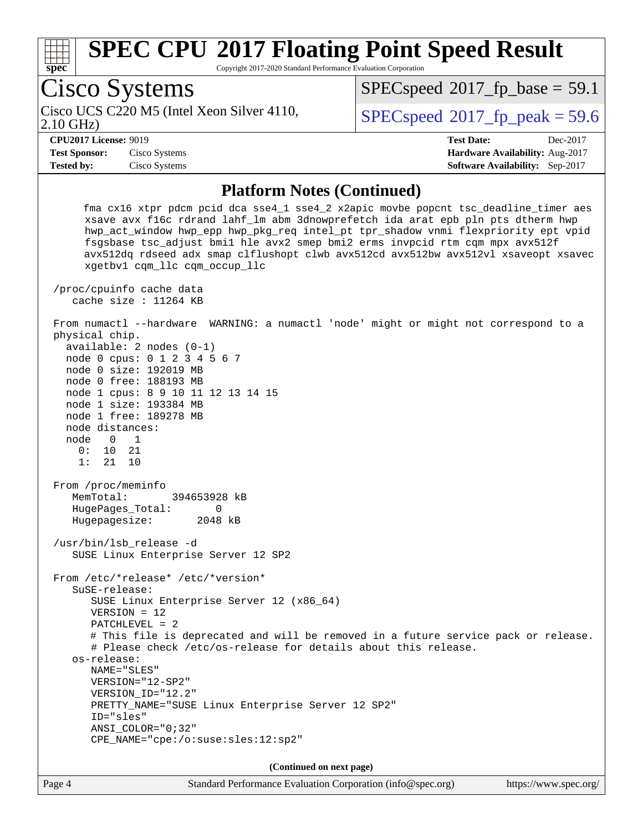

Copyright 2017-2020 Standard Performance Evaluation Corporation

Page 4 Standard Performance Evaluation Corporation [\(info@spec.org\)](mailto:info@spec.org) <https://www.spec.org/> Cisco Systems 2.10 GHz) Cisco UCS C220 M5 (Intel Xeon Silver 4110,  $\vert$  [SPECspeed](http://www.spec.org/auto/cpu2017/Docs/result-fields.html#SPECspeed2017fppeak)®[2017\\_fp\\_peak = 5](http://www.spec.org/auto/cpu2017/Docs/result-fields.html#SPECspeed2017fppeak)9.6  $SPECspeed^{\circledcirc}2017$  $SPECspeed^{\circledcirc}2017$  fp base = 59.1 **[CPU2017 License:](http://www.spec.org/auto/cpu2017/Docs/result-fields.html#CPU2017License)** 9019 **[Test Date:](http://www.spec.org/auto/cpu2017/Docs/result-fields.html#TestDate)** Dec-2017 **[Test Sponsor:](http://www.spec.org/auto/cpu2017/Docs/result-fields.html#TestSponsor)** Cisco Systems **[Hardware Availability:](http://www.spec.org/auto/cpu2017/Docs/result-fields.html#HardwareAvailability)** Aug-2017 **[Tested by:](http://www.spec.org/auto/cpu2017/Docs/result-fields.html#Testedby)** Cisco Systems **[Software Availability:](http://www.spec.org/auto/cpu2017/Docs/result-fields.html#SoftwareAvailability)** Sep-2017 **[Platform Notes \(Continued\)](http://www.spec.org/auto/cpu2017/Docs/result-fields.html#PlatformNotes)** fma cx16 xtpr pdcm pcid dca sse4\_1 sse4\_2 x2apic movbe popcnt tsc\_deadline\_timer aes xsave avx f16c rdrand lahf\_lm abm 3dnowprefetch ida arat epb pln pts dtherm hwp hwp\_act\_window hwp\_epp hwp\_pkg\_req intel\_pt tpr\_shadow vnmi flexpriority ept vpid fsgsbase tsc\_adjust bmi1 hle avx2 smep bmi2 erms invpcid rtm cqm mpx avx512f avx512dq rdseed adx smap clflushopt clwb avx512cd avx512bw avx512vl xsaveopt xsavec xgetbv1 cqm\_llc cqm\_occup\_llc /proc/cpuinfo cache data cache size : 11264 KB From numactl --hardware WARNING: a numactl 'node' might or might not correspond to a physical chip. available: 2 nodes (0-1) node 0 cpus: 0 1 2 3 4 5 6 7 node 0 size: 192019 MB node 0 free: 188193 MB node 1 cpus: 8 9 10 11 12 13 14 15 node 1 size: 193384 MB node 1 free: 189278 MB node distances: node 0 1 0: 10 21 1: 21 10 From /proc/meminfo MemTotal: 394653928 kB HugePages\_Total: 0 Hugepagesize: 2048 kB /usr/bin/lsb\_release -d SUSE Linux Enterprise Server 12 SP2 From /etc/\*release\* /etc/\*version\* SuSE-release: SUSE Linux Enterprise Server 12 (x86\_64) VERSION = 12 PATCHLEVEL = 2 # This file is deprecated and will be removed in a future service pack or release. # Please check /etc/os-release for details about this release. os-release: NAME="SLES" VERSION="12-SP2" VERSION\_ID="12.2" PRETTY\_NAME="SUSE Linux Enterprise Server 12 SP2" ID="sles" ANSI\_COLOR="0;32" CPE\_NAME="cpe:/o:suse:sles:12:sp2" **(Continued on next page)**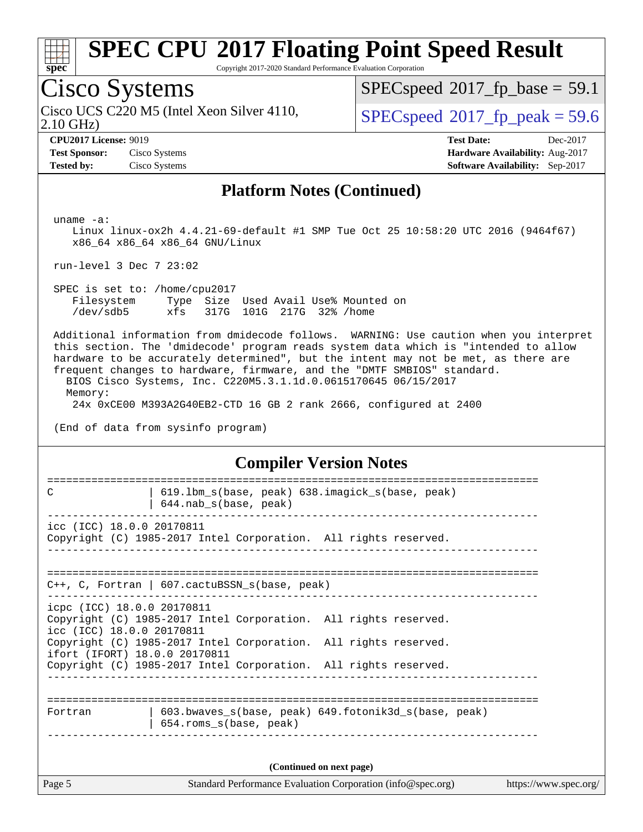

Copyright 2017-2020 Standard Performance Evaluation Corporation

## Cisco Systems

2.10 GHz) Cisco UCS C220 M5 (Intel Xeon Silver 4110,  $\vert$  [SPECspeed](http://www.spec.org/auto/cpu2017/Docs/result-fields.html#SPECspeed2017fppeak)®[2017\\_fp\\_peak = 5](http://www.spec.org/auto/cpu2017/Docs/result-fields.html#SPECspeed2017fppeak)9.6

 $SPECspeed@2017_fp\_base = 59.1$  $SPECspeed@2017_fp\_base = 59.1$ 

**[Tested by:](http://www.spec.org/auto/cpu2017/Docs/result-fields.html#Testedby)** Cisco Systems **[Software Availability:](http://www.spec.org/auto/cpu2017/Docs/result-fields.html#SoftwareAvailability)** Sep-2017

**[CPU2017 License:](http://www.spec.org/auto/cpu2017/Docs/result-fields.html#CPU2017License)** 9019 **[Test Date:](http://www.spec.org/auto/cpu2017/Docs/result-fields.html#TestDate)** Dec-2017 **[Test Sponsor:](http://www.spec.org/auto/cpu2017/Docs/result-fields.html#TestSponsor)** Cisco Systems **[Hardware Availability:](http://www.spec.org/auto/cpu2017/Docs/result-fields.html#HardwareAvailability)** Aug-2017

#### **[Platform Notes \(Continued\)](http://www.spec.org/auto/cpu2017/Docs/result-fields.html#PlatformNotes)**

uname -a:

 Linux linux-ox2h 4.4.21-69-default #1 SMP Tue Oct 25 10:58:20 UTC 2016 (9464f67) x86\_64 x86\_64 x86\_64 GNU/Linux

run-level 3 Dec 7 23:02

 SPEC is set to: /home/cpu2017 Filesystem Type Size Used Avail Use% Mounted on /dev/sdb5 xfs 317G 101G 217G 32% /home

 Additional information from dmidecode follows. WARNING: Use caution when you interpret this section. The 'dmidecode' program reads system data which is "intended to allow hardware to be accurately determined", but the intent may not be met, as there are frequent changes to hardware, firmware, and the "DMTF SMBIOS" standard.

 BIOS Cisco Systems, Inc. C220M5.3.1.1d.0.0615170645 06/15/2017 Memory:

24x 0xCE00 M393A2G40EB2-CTD 16 GB 2 rank 2666, configured at 2400

(End of data from sysinfo program)

#### **[Compiler Version Notes](http://www.spec.org/auto/cpu2017/Docs/result-fields.html#CompilerVersionNotes)**

| C                                                       | 619.1bm_s(base, peak) 638.imagick_s(base, peak)<br>644.nab_s(base, peak)                                                           |  |  |  |  |
|---------------------------------------------------------|------------------------------------------------------------------------------------------------------------------------------------|--|--|--|--|
| icc (ICC) 18.0.0 20170811                               | Copyright (C) 1985-2017 Intel Corporation. All rights reserved.                                                                    |  |  |  |  |
|                                                         | $C++$ , C, Fortran   607.cactuBSSN_s(base, peak)                                                                                   |  |  |  |  |
| icpc (ICC) 18.0.0 20170811<br>icc (ICC) 18.0.0 20170811 | Copyright (C) 1985-2017 Intel Corporation. All rights reserved.                                                                    |  |  |  |  |
| ifort (IFORT) 18.0.0 20170811                           | Copyright (C) 1985-2017 Intel Corporation. All rights reserved.<br>Copyright (C) 1985-2017 Intel Corporation. All rights reserved. |  |  |  |  |
|                                                         |                                                                                                                                    |  |  |  |  |
| Fortran                                                 | 603.bwaves_s(base, peak) 649.fotonik3d_s(base, peak)<br>654.roms_s(base, peak)                                                     |  |  |  |  |
|                                                         | (Continued on next page)                                                                                                           |  |  |  |  |
| Page 5                                                  | Standard Performance Evaluation Corporation (info@spec.org)<br>https://www.spec.org/                                               |  |  |  |  |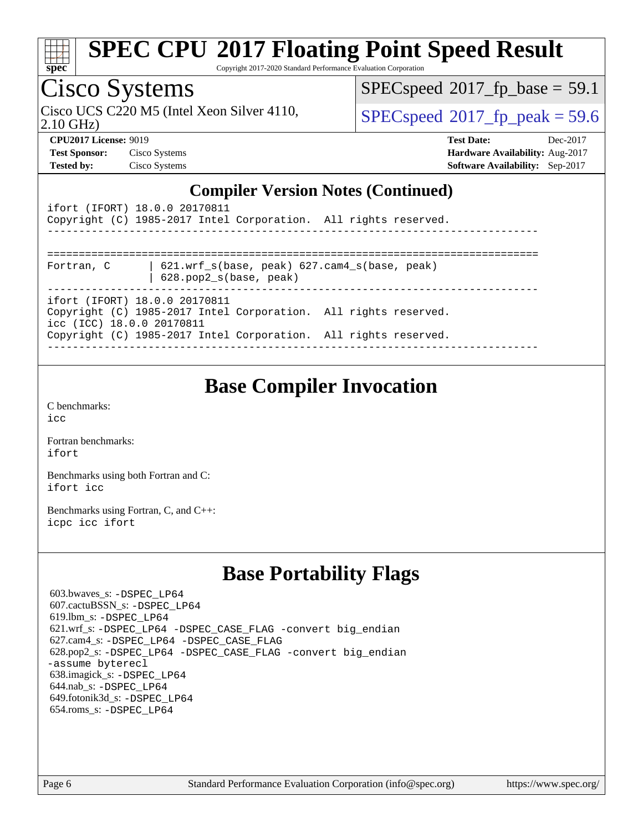

Copyright 2017-2020 Standard Performance Evaluation Corporation

## Cisco Systems

2.10 GHz) Cisco UCS C220 M5 (Intel Xeon Silver 4110,  $\vert$  [SPECspeed](http://www.spec.org/auto/cpu2017/Docs/result-fields.html#SPECspeed2017fppeak)®[2017\\_fp\\_peak = 5](http://www.spec.org/auto/cpu2017/Docs/result-fields.html#SPECspeed2017fppeak)9.6

 $SPECspeed*2017_fp\_base = 59.1$  $SPECspeed*2017_fp\_base = 59.1$ 

**[CPU2017 License:](http://www.spec.org/auto/cpu2017/Docs/result-fields.html#CPU2017License)** 9019 **[Test Date:](http://www.spec.org/auto/cpu2017/Docs/result-fields.html#TestDate)** Dec-2017 **[Test Sponsor:](http://www.spec.org/auto/cpu2017/Docs/result-fields.html#TestSponsor)** Cisco Systems **[Hardware Availability:](http://www.spec.org/auto/cpu2017/Docs/result-fields.html#HardwareAvailability)** Aug-2017 **[Tested by:](http://www.spec.org/auto/cpu2017/Docs/result-fields.html#Testedby)** Cisco Systems **[Software Availability:](http://www.spec.org/auto/cpu2017/Docs/result-fields.html#SoftwareAvailability)** Sep-2017

#### **[Compiler Version Notes \(Continued\)](http://www.spec.org/auto/cpu2017/Docs/result-fields.html#CompilerVersionNotes)**

| ifort (IFORT) 18.0.0 20170811<br>Copyright (C) 1985-2017 Intel Corporation. All rights reserved. |
|--------------------------------------------------------------------------------------------------|
|                                                                                                  |
| 621.wrf $s(base, peak)$ 627.cam4 $s(base, peak)$<br>Fortran, C<br>$628.$ pop $2_s(base, peak)$   |
| ifort (IFORT) 18.0.0 20170811                                                                    |
| Copyright (C) 1985-2017 Intel Corporation. All rights reserved.<br>icc (ICC) 18.0.0 20170811     |
| Copyright (C) 1985-2017 Intel Corporation. All rights reserved.                                  |
|                                                                                                  |

#### **[Base Compiler Invocation](http://www.spec.org/auto/cpu2017/Docs/result-fields.html#BaseCompilerInvocation)**

[C benchmarks](http://www.spec.org/auto/cpu2017/Docs/result-fields.html#Cbenchmarks): [icc](http://www.spec.org/cpu2017/results/res2017q4/cpu2017-20171211-01560.flags.html#user_CCbase_intel_icc_18.0_66fc1ee009f7361af1fbd72ca7dcefbb700085f36577c54f309893dd4ec40d12360134090235512931783d35fd58c0460139e722d5067c5574d8eaf2b3e37e92)

[Fortran benchmarks](http://www.spec.org/auto/cpu2017/Docs/result-fields.html#Fortranbenchmarks): [ifort](http://www.spec.org/cpu2017/results/res2017q4/cpu2017-20171211-01560.flags.html#user_FCbase_intel_ifort_18.0_8111460550e3ca792625aed983ce982f94888b8b503583aa7ba2b8303487b4d8a21a13e7191a45c5fd58ff318f48f9492884d4413fa793fd88dd292cad7027ca)

[Benchmarks using both Fortran and C](http://www.spec.org/auto/cpu2017/Docs/result-fields.html#BenchmarksusingbothFortranandC): [ifort](http://www.spec.org/cpu2017/results/res2017q4/cpu2017-20171211-01560.flags.html#user_CC_FCbase_intel_ifort_18.0_8111460550e3ca792625aed983ce982f94888b8b503583aa7ba2b8303487b4d8a21a13e7191a45c5fd58ff318f48f9492884d4413fa793fd88dd292cad7027ca) [icc](http://www.spec.org/cpu2017/results/res2017q4/cpu2017-20171211-01560.flags.html#user_CC_FCbase_intel_icc_18.0_66fc1ee009f7361af1fbd72ca7dcefbb700085f36577c54f309893dd4ec40d12360134090235512931783d35fd58c0460139e722d5067c5574d8eaf2b3e37e92)

[Benchmarks using Fortran, C, and C++:](http://www.spec.org/auto/cpu2017/Docs/result-fields.html#BenchmarksusingFortranCandCXX) [icpc](http://www.spec.org/cpu2017/results/res2017q4/cpu2017-20171211-01560.flags.html#user_CC_CXX_FCbase_intel_icpc_18.0_c510b6838c7f56d33e37e94d029a35b4a7bccf4766a728ee175e80a419847e808290a9b78be685c44ab727ea267ec2f070ec5dc83b407c0218cded6866a35d07) [icc](http://www.spec.org/cpu2017/results/res2017q4/cpu2017-20171211-01560.flags.html#user_CC_CXX_FCbase_intel_icc_18.0_66fc1ee009f7361af1fbd72ca7dcefbb700085f36577c54f309893dd4ec40d12360134090235512931783d35fd58c0460139e722d5067c5574d8eaf2b3e37e92) [ifort](http://www.spec.org/cpu2017/results/res2017q4/cpu2017-20171211-01560.flags.html#user_CC_CXX_FCbase_intel_ifort_18.0_8111460550e3ca792625aed983ce982f94888b8b503583aa7ba2b8303487b4d8a21a13e7191a45c5fd58ff318f48f9492884d4413fa793fd88dd292cad7027ca)

## **[Base Portability Flags](http://www.spec.org/auto/cpu2017/Docs/result-fields.html#BasePortabilityFlags)**

 603.bwaves\_s: [-DSPEC\\_LP64](http://www.spec.org/cpu2017/results/res2017q4/cpu2017-20171211-01560.flags.html#suite_basePORTABILITY603_bwaves_s_DSPEC_LP64) 607.cactuBSSN\_s: [-DSPEC\\_LP64](http://www.spec.org/cpu2017/results/res2017q4/cpu2017-20171211-01560.flags.html#suite_basePORTABILITY607_cactuBSSN_s_DSPEC_LP64) 619.lbm\_s: [-DSPEC\\_LP64](http://www.spec.org/cpu2017/results/res2017q4/cpu2017-20171211-01560.flags.html#suite_basePORTABILITY619_lbm_s_DSPEC_LP64) 621.wrf\_s: [-DSPEC\\_LP64](http://www.spec.org/cpu2017/results/res2017q4/cpu2017-20171211-01560.flags.html#suite_basePORTABILITY621_wrf_s_DSPEC_LP64) [-DSPEC\\_CASE\\_FLAG](http://www.spec.org/cpu2017/results/res2017q4/cpu2017-20171211-01560.flags.html#b621.wrf_s_baseCPORTABILITY_DSPEC_CASE_FLAG) [-convert big\\_endian](http://www.spec.org/cpu2017/results/res2017q4/cpu2017-20171211-01560.flags.html#user_baseFPORTABILITY621_wrf_s_convert_big_endian_c3194028bc08c63ac5d04de18c48ce6d347e4e562e8892b8bdbdc0214820426deb8554edfa529a3fb25a586e65a3d812c835984020483e7e73212c4d31a38223) 627.cam4\_s: [-DSPEC\\_LP64](http://www.spec.org/cpu2017/results/res2017q4/cpu2017-20171211-01560.flags.html#suite_basePORTABILITY627_cam4_s_DSPEC_LP64) [-DSPEC\\_CASE\\_FLAG](http://www.spec.org/cpu2017/results/res2017q4/cpu2017-20171211-01560.flags.html#b627.cam4_s_baseCPORTABILITY_DSPEC_CASE_FLAG) 628.pop2\_s: [-DSPEC\\_LP64](http://www.spec.org/cpu2017/results/res2017q4/cpu2017-20171211-01560.flags.html#suite_basePORTABILITY628_pop2_s_DSPEC_LP64) [-DSPEC\\_CASE\\_FLAG](http://www.spec.org/cpu2017/results/res2017q4/cpu2017-20171211-01560.flags.html#b628.pop2_s_baseCPORTABILITY_DSPEC_CASE_FLAG) [-convert big\\_endian](http://www.spec.org/cpu2017/results/res2017q4/cpu2017-20171211-01560.flags.html#user_baseFPORTABILITY628_pop2_s_convert_big_endian_c3194028bc08c63ac5d04de18c48ce6d347e4e562e8892b8bdbdc0214820426deb8554edfa529a3fb25a586e65a3d812c835984020483e7e73212c4d31a38223) [-assume byterecl](http://www.spec.org/cpu2017/results/res2017q4/cpu2017-20171211-01560.flags.html#user_baseFPORTABILITY628_pop2_s_assume_byterecl_7e47d18b9513cf18525430bbf0f2177aa9bf368bc7a059c09b2c06a34b53bd3447c950d3f8d6c70e3faf3a05c8557d66a5798b567902e8849adc142926523472) 638.imagick\_s: [-DSPEC\\_LP64](http://www.spec.org/cpu2017/results/res2017q4/cpu2017-20171211-01560.flags.html#suite_basePORTABILITY638_imagick_s_DSPEC_LP64) 644.nab\_s: [-DSPEC\\_LP64](http://www.spec.org/cpu2017/results/res2017q4/cpu2017-20171211-01560.flags.html#suite_basePORTABILITY644_nab_s_DSPEC_LP64) 649.fotonik3d\_s: [-DSPEC\\_LP64](http://www.spec.org/cpu2017/results/res2017q4/cpu2017-20171211-01560.flags.html#suite_basePORTABILITY649_fotonik3d_s_DSPEC_LP64) 654.roms\_s: [-DSPEC\\_LP64](http://www.spec.org/cpu2017/results/res2017q4/cpu2017-20171211-01560.flags.html#suite_basePORTABILITY654_roms_s_DSPEC_LP64)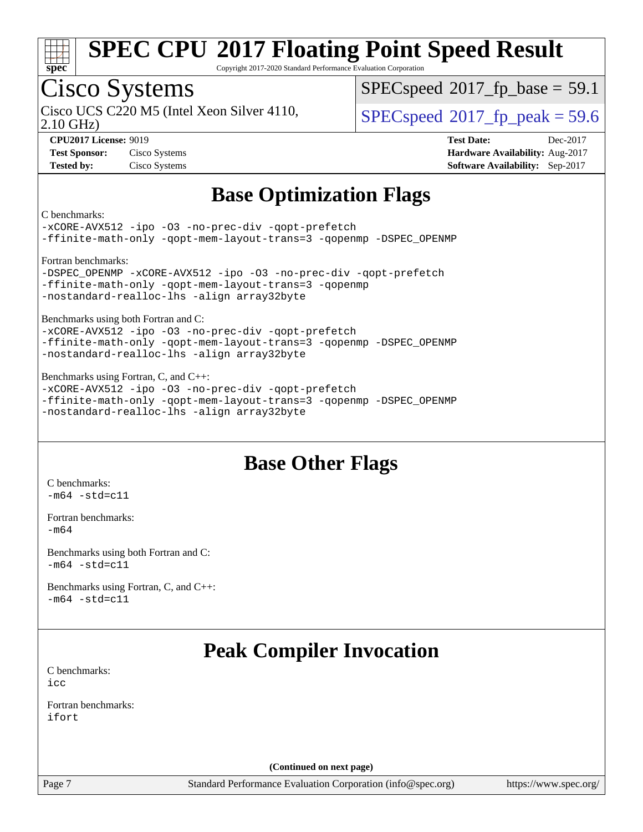

Copyright 2017-2020 Standard Performance Evaluation Corporation

## Cisco Systems

2.10 GHz) Cisco UCS C220 M5 (Intel Xeon Silver 4110,  $\vert$  [SPECspeed](http://www.spec.org/auto/cpu2017/Docs/result-fields.html#SPECspeed2017fppeak)®[2017\\_fp\\_peak = 5](http://www.spec.org/auto/cpu2017/Docs/result-fields.html#SPECspeed2017fppeak)9.6

 $SPECspeed^{\circledcirc}2017$  $SPECspeed^{\circledcirc}2017$  fp base = 59.1

**[Tested by:](http://www.spec.org/auto/cpu2017/Docs/result-fields.html#Testedby)** Cisco Systems **[Software Availability:](http://www.spec.org/auto/cpu2017/Docs/result-fields.html#SoftwareAvailability)** Sep-2017

**[CPU2017 License:](http://www.spec.org/auto/cpu2017/Docs/result-fields.html#CPU2017License)** 9019 **[Test Date:](http://www.spec.org/auto/cpu2017/Docs/result-fields.html#TestDate)** Dec-2017 **[Test Sponsor:](http://www.spec.org/auto/cpu2017/Docs/result-fields.html#TestSponsor)** Cisco Systems **[Hardware Availability:](http://www.spec.org/auto/cpu2017/Docs/result-fields.html#HardwareAvailability)** Aug-2017

## **[Base Optimization Flags](http://www.spec.org/auto/cpu2017/Docs/result-fields.html#BaseOptimizationFlags)**

[C benchmarks:](http://www.spec.org/auto/cpu2017/Docs/result-fields.html#Cbenchmarks)

[-xCORE-AVX512](http://www.spec.org/cpu2017/results/res2017q4/cpu2017-20171211-01560.flags.html#user_CCbase_f-xCORE-AVX512) [-ipo](http://www.spec.org/cpu2017/results/res2017q4/cpu2017-20171211-01560.flags.html#user_CCbase_f-ipo) -03 [-no-prec-div](http://www.spec.org/cpu2017/results/res2017q4/cpu2017-20171211-01560.flags.html#user_CCbase_f-no-prec-div) [-qopt-prefetch](http://www.spec.org/cpu2017/results/res2017q4/cpu2017-20171211-01560.flags.html#user_CCbase_f-qopt-prefetch) [-ffinite-math-only](http://www.spec.org/cpu2017/results/res2017q4/cpu2017-20171211-01560.flags.html#user_CCbase_f_finite_math_only_cb91587bd2077682c4b38af759c288ed7c732db004271a9512da14a4f8007909a5f1427ecbf1a0fb78ff2a814402c6114ac565ca162485bbcae155b5e4258871) [-qopt-mem-layout-trans=3](http://www.spec.org/cpu2017/results/res2017q4/cpu2017-20171211-01560.flags.html#user_CCbase_f-qopt-mem-layout-trans_de80db37974c74b1f0e20d883f0b675c88c3b01e9d123adea9b28688d64333345fb62bc4a798493513fdb68f60282f9a726aa07f478b2f7113531aecce732043) [-qopenmp](http://www.spec.org/cpu2017/results/res2017q4/cpu2017-20171211-01560.flags.html#user_CCbase_qopenmp_16be0c44f24f464004c6784a7acb94aca937f053568ce72f94b139a11c7c168634a55f6653758ddd83bcf7b8463e8028bb0b48b77bcddc6b78d5d95bb1df2967) [-DSPEC\\_OPENMP](http://www.spec.org/cpu2017/results/res2017q4/cpu2017-20171211-01560.flags.html#suite_CCbase_DSPEC_OPENMP)

[Fortran benchmarks:](http://www.spec.org/auto/cpu2017/Docs/result-fields.html#Fortranbenchmarks) [-DSPEC\\_OPENMP](http://www.spec.org/cpu2017/results/res2017q4/cpu2017-20171211-01560.flags.html#suite_FCbase_DSPEC_OPENMP) [-xCORE-AVX512](http://www.spec.org/cpu2017/results/res2017q4/cpu2017-20171211-01560.flags.html#user_FCbase_f-xCORE-AVX512) [-ipo](http://www.spec.org/cpu2017/results/res2017q4/cpu2017-20171211-01560.flags.html#user_FCbase_f-ipo) [-O3](http://www.spec.org/cpu2017/results/res2017q4/cpu2017-20171211-01560.flags.html#user_FCbase_f-O3) [-no-prec-div](http://www.spec.org/cpu2017/results/res2017q4/cpu2017-20171211-01560.flags.html#user_FCbase_f-no-prec-div) [-qopt-prefetch](http://www.spec.org/cpu2017/results/res2017q4/cpu2017-20171211-01560.flags.html#user_FCbase_f-qopt-prefetch) [-ffinite-math-only](http://www.spec.org/cpu2017/results/res2017q4/cpu2017-20171211-01560.flags.html#user_FCbase_f_finite_math_only_cb91587bd2077682c4b38af759c288ed7c732db004271a9512da14a4f8007909a5f1427ecbf1a0fb78ff2a814402c6114ac565ca162485bbcae155b5e4258871) [-qopt-mem-layout-trans=3](http://www.spec.org/cpu2017/results/res2017q4/cpu2017-20171211-01560.flags.html#user_FCbase_f-qopt-mem-layout-trans_de80db37974c74b1f0e20d883f0b675c88c3b01e9d123adea9b28688d64333345fb62bc4a798493513fdb68f60282f9a726aa07f478b2f7113531aecce732043) [-qopenmp](http://www.spec.org/cpu2017/results/res2017q4/cpu2017-20171211-01560.flags.html#user_FCbase_qopenmp_16be0c44f24f464004c6784a7acb94aca937f053568ce72f94b139a11c7c168634a55f6653758ddd83bcf7b8463e8028bb0b48b77bcddc6b78d5d95bb1df2967) [-nostandard-realloc-lhs](http://www.spec.org/cpu2017/results/res2017q4/cpu2017-20171211-01560.flags.html#user_FCbase_f_2003_std_realloc_82b4557e90729c0f113870c07e44d33d6f5a304b4f63d4c15d2d0f1fab99f5daaed73bdb9275d9ae411527f28b936061aa8b9c8f2d63842963b95c9dd6426b8a) [-align array32byte](http://www.spec.org/cpu2017/results/res2017q4/cpu2017-20171211-01560.flags.html#user_FCbase_align_array32byte_b982fe038af199962ba9a80c053b8342c548c85b40b8e86eb3cc33dee0d7986a4af373ac2d51c3f7cf710a18d62fdce2948f201cd044323541f22fc0fffc51b6)

[Benchmarks using both Fortran and C:](http://www.spec.org/auto/cpu2017/Docs/result-fields.html#BenchmarksusingbothFortranandC) [-xCORE-AVX512](http://www.spec.org/cpu2017/results/res2017q4/cpu2017-20171211-01560.flags.html#user_CC_FCbase_f-xCORE-AVX512) [-ipo](http://www.spec.org/cpu2017/results/res2017q4/cpu2017-20171211-01560.flags.html#user_CC_FCbase_f-ipo) [-O3](http://www.spec.org/cpu2017/results/res2017q4/cpu2017-20171211-01560.flags.html#user_CC_FCbase_f-O3) [-no-prec-div](http://www.spec.org/cpu2017/results/res2017q4/cpu2017-20171211-01560.flags.html#user_CC_FCbase_f-no-prec-div) [-qopt-prefetch](http://www.spec.org/cpu2017/results/res2017q4/cpu2017-20171211-01560.flags.html#user_CC_FCbase_f-qopt-prefetch)

[-ffinite-math-only](http://www.spec.org/cpu2017/results/res2017q4/cpu2017-20171211-01560.flags.html#user_CC_FCbase_f_finite_math_only_cb91587bd2077682c4b38af759c288ed7c732db004271a9512da14a4f8007909a5f1427ecbf1a0fb78ff2a814402c6114ac565ca162485bbcae155b5e4258871) [-qopt-mem-layout-trans=3](http://www.spec.org/cpu2017/results/res2017q4/cpu2017-20171211-01560.flags.html#user_CC_FCbase_f-qopt-mem-layout-trans_de80db37974c74b1f0e20d883f0b675c88c3b01e9d123adea9b28688d64333345fb62bc4a798493513fdb68f60282f9a726aa07f478b2f7113531aecce732043) [-qopenmp](http://www.spec.org/cpu2017/results/res2017q4/cpu2017-20171211-01560.flags.html#user_CC_FCbase_qopenmp_16be0c44f24f464004c6784a7acb94aca937f053568ce72f94b139a11c7c168634a55f6653758ddd83bcf7b8463e8028bb0b48b77bcddc6b78d5d95bb1df2967) [-DSPEC\\_OPENMP](http://www.spec.org/cpu2017/results/res2017q4/cpu2017-20171211-01560.flags.html#suite_CC_FCbase_DSPEC_OPENMP) [-nostandard-realloc-lhs](http://www.spec.org/cpu2017/results/res2017q4/cpu2017-20171211-01560.flags.html#user_CC_FCbase_f_2003_std_realloc_82b4557e90729c0f113870c07e44d33d6f5a304b4f63d4c15d2d0f1fab99f5daaed73bdb9275d9ae411527f28b936061aa8b9c8f2d63842963b95c9dd6426b8a) [-align array32byte](http://www.spec.org/cpu2017/results/res2017q4/cpu2017-20171211-01560.flags.html#user_CC_FCbase_align_array32byte_b982fe038af199962ba9a80c053b8342c548c85b40b8e86eb3cc33dee0d7986a4af373ac2d51c3f7cf710a18d62fdce2948f201cd044323541f22fc0fffc51b6)

[Benchmarks using Fortran, C, and C++](http://www.spec.org/auto/cpu2017/Docs/result-fields.html#BenchmarksusingFortranCandCXX): [-xCORE-AVX512](http://www.spec.org/cpu2017/results/res2017q4/cpu2017-20171211-01560.flags.html#user_CC_CXX_FCbase_f-xCORE-AVX512) [-ipo](http://www.spec.org/cpu2017/results/res2017q4/cpu2017-20171211-01560.flags.html#user_CC_CXX_FCbase_f-ipo) [-O3](http://www.spec.org/cpu2017/results/res2017q4/cpu2017-20171211-01560.flags.html#user_CC_CXX_FCbase_f-O3) [-no-prec-div](http://www.spec.org/cpu2017/results/res2017q4/cpu2017-20171211-01560.flags.html#user_CC_CXX_FCbase_f-no-prec-div) [-qopt-prefetch](http://www.spec.org/cpu2017/results/res2017q4/cpu2017-20171211-01560.flags.html#user_CC_CXX_FCbase_f-qopt-prefetch) [-ffinite-math-only](http://www.spec.org/cpu2017/results/res2017q4/cpu2017-20171211-01560.flags.html#user_CC_CXX_FCbase_f_finite_math_only_cb91587bd2077682c4b38af759c288ed7c732db004271a9512da14a4f8007909a5f1427ecbf1a0fb78ff2a814402c6114ac565ca162485bbcae155b5e4258871) [-qopt-mem-layout-trans=3](http://www.spec.org/cpu2017/results/res2017q4/cpu2017-20171211-01560.flags.html#user_CC_CXX_FCbase_f-qopt-mem-layout-trans_de80db37974c74b1f0e20d883f0b675c88c3b01e9d123adea9b28688d64333345fb62bc4a798493513fdb68f60282f9a726aa07f478b2f7113531aecce732043) [-qopenmp](http://www.spec.org/cpu2017/results/res2017q4/cpu2017-20171211-01560.flags.html#user_CC_CXX_FCbase_qopenmp_16be0c44f24f464004c6784a7acb94aca937f053568ce72f94b139a11c7c168634a55f6653758ddd83bcf7b8463e8028bb0b48b77bcddc6b78d5d95bb1df2967) [-DSPEC\\_OPENMP](http://www.spec.org/cpu2017/results/res2017q4/cpu2017-20171211-01560.flags.html#suite_CC_CXX_FCbase_DSPEC_OPENMP) [-nostandard-realloc-lhs](http://www.spec.org/cpu2017/results/res2017q4/cpu2017-20171211-01560.flags.html#user_CC_CXX_FCbase_f_2003_std_realloc_82b4557e90729c0f113870c07e44d33d6f5a304b4f63d4c15d2d0f1fab99f5daaed73bdb9275d9ae411527f28b936061aa8b9c8f2d63842963b95c9dd6426b8a) [-align array32byte](http://www.spec.org/cpu2017/results/res2017q4/cpu2017-20171211-01560.flags.html#user_CC_CXX_FCbase_align_array32byte_b982fe038af199962ba9a80c053b8342c548c85b40b8e86eb3cc33dee0d7986a4af373ac2d51c3f7cf710a18d62fdce2948f201cd044323541f22fc0fffc51b6)

## **[Base Other Flags](http://www.spec.org/auto/cpu2017/Docs/result-fields.html#BaseOtherFlags)**

[C benchmarks](http://www.spec.org/auto/cpu2017/Docs/result-fields.html#Cbenchmarks):  $-m64 - std= c11$  $-m64 - std= c11$ 

[Fortran benchmarks](http://www.spec.org/auto/cpu2017/Docs/result-fields.html#Fortranbenchmarks): [-m64](http://www.spec.org/cpu2017/results/res2017q4/cpu2017-20171211-01560.flags.html#user_FCbase_intel_intel64_18.0_af43caccfc8ded86e7699f2159af6efc7655f51387b94da716254467f3c01020a5059329e2569e4053f409e7c9202a7efc638f7a6d1ffb3f52dea4a3e31d82ab)

[Benchmarks using both Fortran and C](http://www.spec.org/auto/cpu2017/Docs/result-fields.html#BenchmarksusingbothFortranandC):  $-m64$   $-std=cl1$ 

[Benchmarks using Fortran, C, and C++:](http://www.spec.org/auto/cpu2017/Docs/result-fields.html#BenchmarksusingFortranCandCXX)  $-m64 - std= c11$  $-m64 - std= c11$ 

## **[Peak Compiler Invocation](http://www.spec.org/auto/cpu2017/Docs/result-fields.html#PeakCompilerInvocation)**

[C benchmarks](http://www.spec.org/auto/cpu2017/Docs/result-fields.html#Cbenchmarks): [icc](http://www.spec.org/cpu2017/results/res2017q4/cpu2017-20171211-01560.flags.html#user_CCpeak_intel_icc_18.0_66fc1ee009f7361af1fbd72ca7dcefbb700085f36577c54f309893dd4ec40d12360134090235512931783d35fd58c0460139e722d5067c5574d8eaf2b3e37e92)

[Fortran benchmarks](http://www.spec.org/auto/cpu2017/Docs/result-fields.html#Fortranbenchmarks): [ifort](http://www.spec.org/cpu2017/results/res2017q4/cpu2017-20171211-01560.flags.html#user_FCpeak_intel_ifort_18.0_8111460550e3ca792625aed983ce982f94888b8b503583aa7ba2b8303487b4d8a21a13e7191a45c5fd58ff318f48f9492884d4413fa793fd88dd292cad7027ca)

**(Continued on next page)**

Page 7 Standard Performance Evaluation Corporation [\(info@spec.org\)](mailto:info@spec.org) <https://www.spec.org/>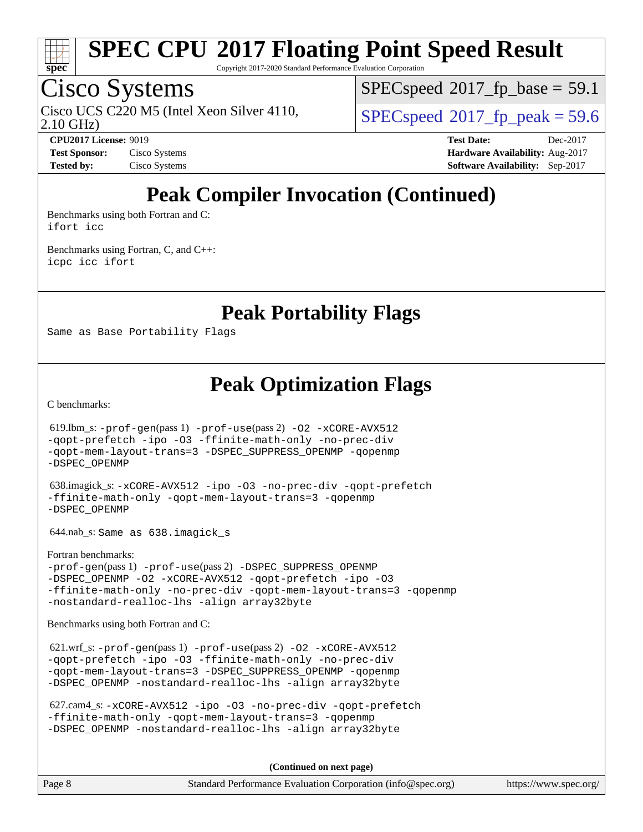

Copyright 2017-2020 Standard Performance Evaluation Corporation

## Cisco Systems

2.10 GHz) Cisco UCS C220 M5 (Intel Xeon Silver 4110,  $\vert$  [SPECspeed](http://www.spec.org/auto/cpu2017/Docs/result-fields.html#SPECspeed2017fppeak)®[2017\\_fp\\_peak = 5](http://www.spec.org/auto/cpu2017/Docs/result-fields.html#SPECspeed2017fppeak)9.6

 $SPECspeed^{\circledcirc}2017$  $SPECspeed^{\circledcirc}2017$  fp base = 59.1

**[Test Sponsor:](http://www.spec.org/auto/cpu2017/Docs/result-fields.html#TestSponsor)** Cisco Systems **[Hardware Availability:](http://www.spec.org/auto/cpu2017/Docs/result-fields.html#HardwareAvailability)** Aug-2017

**[CPU2017 License:](http://www.spec.org/auto/cpu2017/Docs/result-fields.html#CPU2017License)** 9019 **[Test Date:](http://www.spec.org/auto/cpu2017/Docs/result-fields.html#TestDate)** Dec-2017 **[Tested by:](http://www.spec.org/auto/cpu2017/Docs/result-fields.html#Testedby)** Cisco Systems **[Software Availability:](http://www.spec.org/auto/cpu2017/Docs/result-fields.html#SoftwareAvailability)** Sep-2017

## **[Peak Compiler Invocation \(Continued\)](http://www.spec.org/auto/cpu2017/Docs/result-fields.html#PeakCompilerInvocation)**

[Benchmarks using both Fortran and C](http://www.spec.org/auto/cpu2017/Docs/result-fields.html#BenchmarksusingbothFortranandC): [ifort](http://www.spec.org/cpu2017/results/res2017q4/cpu2017-20171211-01560.flags.html#user_CC_FCpeak_intel_ifort_18.0_8111460550e3ca792625aed983ce982f94888b8b503583aa7ba2b8303487b4d8a21a13e7191a45c5fd58ff318f48f9492884d4413fa793fd88dd292cad7027ca) [icc](http://www.spec.org/cpu2017/results/res2017q4/cpu2017-20171211-01560.flags.html#user_CC_FCpeak_intel_icc_18.0_66fc1ee009f7361af1fbd72ca7dcefbb700085f36577c54f309893dd4ec40d12360134090235512931783d35fd58c0460139e722d5067c5574d8eaf2b3e37e92)

[Benchmarks using Fortran, C, and C++:](http://www.spec.org/auto/cpu2017/Docs/result-fields.html#BenchmarksusingFortranCandCXX) [icpc](http://www.spec.org/cpu2017/results/res2017q4/cpu2017-20171211-01560.flags.html#user_CC_CXX_FCpeak_intel_icpc_18.0_c510b6838c7f56d33e37e94d029a35b4a7bccf4766a728ee175e80a419847e808290a9b78be685c44ab727ea267ec2f070ec5dc83b407c0218cded6866a35d07) [icc](http://www.spec.org/cpu2017/results/res2017q4/cpu2017-20171211-01560.flags.html#user_CC_CXX_FCpeak_intel_icc_18.0_66fc1ee009f7361af1fbd72ca7dcefbb700085f36577c54f309893dd4ec40d12360134090235512931783d35fd58c0460139e722d5067c5574d8eaf2b3e37e92) [ifort](http://www.spec.org/cpu2017/results/res2017q4/cpu2017-20171211-01560.flags.html#user_CC_CXX_FCpeak_intel_ifort_18.0_8111460550e3ca792625aed983ce982f94888b8b503583aa7ba2b8303487b4d8a21a13e7191a45c5fd58ff318f48f9492884d4413fa793fd88dd292cad7027ca)

**[Peak Portability Flags](http://www.spec.org/auto/cpu2017/Docs/result-fields.html#PeakPortabilityFlags)**

Same as Base Portability Flags

**[Peak Optimization Flags](http://www.spec.org/auto/cpu2017/Docs/result-fields.html#PeakOptimizationFlags)**

[C benchmarks](http://www.spec.org/auto/cpu2017/Docs/result-fields.html#Cbenchmarks):

 619.lbm\_s: [-prof-gen](http://www.spec.org/cpu2017/results/res2017q4/cpu2017-20171211-01560.flags.html#user_peakPASS1_CFLAGSPASS1_LDFLAGS619_lbm_s_prof_gen_5aa4926d6013ddb2a31985c654b3eb18169fc0c6952a63635c234f711e6e63dd76e94ad52365559451ec499a2cdb89e4dc58ba4c67ef54ca681ffbe1461d6b36)(pass 1) [-prof-use](http://www.spec.org/cpu2017/results/res2017q4/cpu2017-20171211-01560.flags.html#user_peakPASS2_CFLAGSPASS2_LDFLAGS619_lbm_s_prof_use_1a21ceae95f36a2b53c25747139a6c16ca95bd9def2a207b4f0849963b97e94f5260e30a0c64f4bb623698870e679ca08317ef8150905d41bd88c6f78df73f19)(pass 2) [-O2](http://www.spec.org/cpu2017/results/res2017q4/cpu2017-20171211-01560.flags.html#user_peakPASS1_COPTIMIZE619_lbm_s_f-O2) [-xCORE-AVX512](http://www.spec.org/cpu2017/results/res2017q4/cpu2017-20171211-01560.flags.html#user_peakPASS2_COPTIMIZE619_lbm_s_f-xCORE-AVX512) [-qopt-prefetch](http://www.spec.org/cpu2017/results/res2017q4/cpu2017-20171211-01560.flags.html#user_peakPASS1_COPTIMIZEPASS2_COPTIMIZE619_lbm_s_f-qopt-prefetch) [-ipo](http://www.spec.org/cpu2017/results/res2017q4/cpu2017-20171211-01560.flags.html#user_peakPASS2_COPTIMIZE619_lbm_s_f-ipo) [-O3](http://www.spec.org/cpu2017/results/res2017q4/cpu2017-20171211-01560.flags.html#user_peakPASS2_COPTIMIZE619_lbm_s_f-O3) [-ffinite-math-only](http://www.spec.org/cpu2017/results/res2017q4/cpu2017-20171211-01560.flags.html#user_peakPASS1_COPTIMIZEPASS2_COPTIMIZE619_lbm_s_f_finite_math_only_cb91587bd2077682c4b38af759c288ed7c732db004271a9512da14a4f8007909a5f1427ecbf1a0fb78ff2a814402c6114ac565ca162485bbcae155b5e4258871) [-no-prec-div](http://www.spec.org/cpu2017/results/res2017q4/cpu2017-20171211-01560.flags.html#user_peakPASS2_COPTIMIZE619_lbm_s_f-no-prec-div) [-qopt-mem-layout-trans=3](http://www.spec.org/cpu2017/results/res2017q4/cpu2017-20171211-01560.flags.html#user_peakPASS1_COPTIMIZEPASS2_COPTIMIZE619_lbm_s_f-qopt-mem-layout-trans_de80db37974c74b1f0e20d883f0b675c88c3b01e9d123adea9b28688d64333345fb62bc4a798493513fdb68f60282f9a726aa07f478b2f7113531aecce732043) [-DSPEC\\_SUPPRESS\\_OPENMP](http://www.spec.org/cpu2017/results/res2017q4/cpu2017-20171211-01560.flags.html#suite_peakPASS1_COPTIMIZE619_lbm_s_DSPEC_SUPPRESS_OPENMP) [-qopenmp](http://www.spec.org/cpu2017/results/res2017q4/cpu2017-20171211-01560.flags.html#user_peakPASS2_COPTIMIZE619_lbm_s_qopenmp_16be0c44f24f464004c6784a7acb94aca937f053568ce72f94b139a11c7c168634a55f6653758ddd83bcf7b8463e8028bb0b48b77bcddc6b78d5d95bb1df2967) [-DSPEC\\_OPENMP](http://www.spec.org/cpu2017/results/res2017q4/cpu2017-20171211-01560.flags.html#suite_peakPASS2_COPTIMIZE619_lbm_s_DSPEC_OPENMP) 638.imagick\_s: [-xCORE-AVX512](http://www.spec.org/cpu2017/results/res2017q4/cpu2017-20171211-01560.flags.html#user_peakCOPTIMIZE638_imagick_s_f-xCORE-AVX512) [-ipo](http://www.spec.org/cpu2017/results/res2017q4/cpu2017-20171211-01560.flags.html#user_peakCOPTIMIZE638_imagick_s_f-ipo) [-O3](http://www.spec.org/cpu2017/results/res2017q4/cpu2017-20171211-01560.flags.html#user_peakCOPTIMIZE638_imagick_s_f-O3) [-no-prec-div](http://www.spec.org/cpu2017/results/res2017q4/cpu2017-20171211-01560.flags.html#user_peakCOPTIMIZE638_imagick_s_f-no-prec-div) [-qopt-prefetch](http://www.spec.org/cpu2017/results/res2017q4/cpu2017-20171211-01560.flags.html#user_peakCOPTIMIZE638_imagick_s_f-qopt-prefetch) [-ffinite-math-only](http://www.spec.org/cpu2017/results/res2017q4/cpu2017-20171211-01560.flags.html#user_peakCOPTIMIZE638_imagick_s_f_finite_math_only_cb91587bd2077682c4b38af759c288ed7c732db004271a9512da14a4f8007909a5f1427ecbf1a0fb78ff2a814402c6114ac565ca162485bbcae155b5e4258871) [-qopt-mem-layout-trans=3](http://www.spec.org/cpu2017/results/res2017q4/cpu2017-20171211-01560.flags.html#user_peakCOPTIMIZE638_imagick_s_f-qopt-mem-layout-trans_de80db37974c74b1f0e20d883f0b675c88c3b01e9d123adea9b28688d64333345fb62bc4a798493513fdb68f60282f9a726aa07f478b2f7113531aecce732043) [-qopenmp](http://www.spec.org/cpu2017/results/res2017q4/cpu2017-20171211-01560.flags.html#user_peakCOPTIMIZE638_imagick_s_qopenmp_16be0c44f24f464004c6784a7acb94aca937f053568ce72f94b139a11c7c168634a55f6653758ddd83bcf7b8463e8028bb0b48b77bcddc6b78d5d95bb1df2967) [-DSPEC\\_OPENMP](http://www.spec.org/cpu2017/results/res2017q4/cpu2017-20171211-01560.flags.html#suite_peakCOPTIMIZE638_imagick_s_DSPEC_OPENMP) 644.nab\_s: Same as 638.imagick\_s [Fortran benchmarks](http://www.spec.org/auto/cpu2017/Docs/result-fields.html#Fortranbenchmarks): [-prof-gen](http://www.spec.org/cpu2017/results/res2017q4/cpu2017-20171211-01560.flags.html#user_FCpeak_prof_gen_5aa4926d6013ddb2a31985c654b3eb18169fc0c6952a63635c234f711e6e63dd76e94ad52365559451ec499a2cdb89e4dc58ba4c67ef54ca681ffbe1461d6b36)(pass 1) [-prof-use](http://www.spec.org/cpu2017/results/res2017q4/cpu2017-20171211-01560.flags.html#user_FCpeak_prof_use_1a21ceae95f36a2b53c25747139a6c16ca95bd9def2a207b4f0849963b97e94f5260e30a0c64f4bb623698870e679ca08317ef8150905d41bd88c6f78df73f19)(pass 2) [-DSPEC\\_SUPPRESS\\_OPENMP](http://www.spec.org/cpu2017/results/res2017q4/cpu2017-20171211-01560.flags.html#suite_FCpeak_DSPEC_SUPPRESS_OPENMP) -DSPEC OPENMP [-O2](http://www.spec.org/cpu2017/results/res2017q4/cpu2017-20171211-01560.flags.html#user_FCpeak_f-O2) [-xCORE-AVX512](http://www.spec.org/cpu2017/results/res2017q4/cpu2017-20171211-01560.flags.html#user_FCpeak_f-xCORE-AVX512) [-qopt-prefetch](http://www.spec.org/cpu2017/results/res2017q4/cpu2017-20171211-01560.flags.html#user_FCpeak_f-qopt-prefetch) [-ipo](http://www.spec.org/cpu2017/results/res2017q4/cpu2017-20171211-01560.flags.html#user_FCpeak_f-ipo) [-O3](http://www.spec.org/cpu2017/results/res2017q4/cpu2017-20171211-01560.flags.html#user_FCpeak_f-O3) [-ffinite-math-only](http://www.spec.org/cpu2017/results/res2017q4/cpu2017-20171211-01560.flags.html#user_FCpeak_f_finite_math_only_cb91587bd2077682c4b38af759c288ed7c732db004271a9512da14a4f8007909a5f1427ecbf1a0fb78ff2a814402c6114ac565ca162485bbcae155b5e4258871) [-no-prec-div](http://www.spec.org/cpu2017/results/res2017q4/cpu2017-20171211-01560.flags.html#user_FCpeak_f-no-prec-div) [-qopt-mem-layout-trans=3](http://www.spec.org/cpu2017/results/res2017q4/cpu2017-20171211-01560.flags.html#user_FCpeak_f-qopt-mem-layout-trans_de80db37974c74b1f0e20d883f0b675c88c3b01e9d123adea9b28688d64333345fb62bc4a798493513fdb68f60282f9a726aa07f478b2f7113531aecce732043) [-qopenmp](http://www.spec.org/cpu2017/results/res2017q4/cpu2017-20171211-01560.flags.html#user_FCpeak_qopenmp_16be0c44f24f464004c6784a7acb94aca937f053568ce72f94b139a11c7c168634a55f6653758ddd83bcf7b8463e8028bb0b48b77bcddc6b78d5d95bb1df2967) [-nostandard-realloc-lhs](http://www.spec.org/cpu2017/results/res2017q4/cpu2017-20171211-01560.flags.html#user_FCpeak_f_2003_std_realloc_82b4557e90729c0f113870c07e44d33d6f5a304b4f63d4c15d2d0f1fab99f5daaed73bdb9275d9ae411527f28b936061aa8b9c8f2d63842963b95c9dd6426b8a) [-align array32byte](http://www.spec.org/cpu2017/results/res2017q4/cpu2017-20171211-01560.flags.html#user_FCpeak_align_array32byte_b982fe038af199962ba9a80c053b8342c548c85b40b8e86eb3cc33dee0d7986a4af373ac2d51c3f7cf710a18d62fdce2948f201cd044323541f22fc0fffc51b6) [Benchmarks using both Fortran and C](http://www.spec.org/auto/cpu2017/Docs/result-fields.html#BenchmarksusingbothFortranandC): 621.wrf\_s: [-prof-gen](http://www.spec.org/cpu2017/results/res2017q4/cpu2017-20171211-01560.flags.html#user_peakPASS1_CFLAGSPASS1_FFLAGSPASS1_LDFLAGS621_wrf_s_prof_gen_5aa4926d6013ddb2a31985c654b3eb18169fc0c6952a63635c234f711e6e63dd76e94ad52365559451ec499a2cdb89e4dc58ba4c67ef54ca681ffbe1461d6b36)(pass 1) [-prof-use](http://www.spec.org/cpu2017/results/res2017q4/cpu2017-20171211-01560.flags.html#user_peakPASS2_CFLAGSPASS2_FFLAGSPASS2_LDFLAGS621_wrf_s_prof_use_1a21ceae95f36a2b53c25747139a6c16ca95bd9def2a207b4f0849963b97e94f5260e30a0c64f4bb623698870e679ca08317ef8150905d41bd88c6f78df73f19)(pass 2) [-O2](http://www.spec.org/cpu2017/results/res2017q4/cpu2017-20171211-01560.flags.html#user_peakPASS1_COPTIMIZEPASS1_FOPTIMIZE621_wrf_s_f-O2) [-xCORE-AVX512](http://www.spec.org/cpu2017/results/res2017q4/cpu2017-20171211-01560.flags.html#user_peakPASS2_COPTIMIZEPASS2_FOPTIMIZE621_wrf_s_f-xCORE-AVX512) [-qopt-prefetch](http://www.spec.org/cpu2017/results/res2017q4/cpu2017-20171211-01560.flags.html#user_peakPASS1_COPTIMIZEPASS1_FOPTIMIZEPASS2_COPTIMIZEPASS2_FOPTIMIZE621_wrf_s_f-qopt-prefetch) [-ipo](http://www.spec.org/cpu2017/results/res2017q4/cpu2017-20171211-01560.flags.html#user_peakPASS2_COPTIMIZEPASS2_FOPTIMIZE621_wrf_s_f-ipo) [-O3](http://www.spec.org/cpu2017/results/res2017q4/cpu2017-20171211-01560.flags.html#user_peakPASS2_COPTIMIZEPASS2_FOPTIMIZE621_wrf_s_f-O3) [-ffinite-math-only](http://www.spec.org/cpu2017/results/res2017q4/cpu2017-20171211-01560.flags.html#user_peakPASS1_COPTIMIZEPASS1_FOPTIMIZEPASS2_COPTIMIZEPASS2_FOPTIMIZE621_wrf_s_f_finite_math_only_cb91587bd2077682c4b38af759c288ed7c732db004271a9512da14a4f8007909a5f1427ecbf1a0fb78ff2a814402c6114ac565ca162485bbcae155b5e4258871) [-no-prec-div](http://www.spec.org/cpu2017/results/res2017q4/cpu2017-20171211-01560.flags.html#user_peakPASS2_COPTIMIZEPASS2_FOPTIMIZE621_wrf_s_f-no-prec-div) [-qopt-mem-layout-trans=3](http://www.spec.org/cpu2017/results/res2017q4/cpu2017-20171211-01560.flags.html#user_peakPASS1_COPTIMIZEPASS1_FOPTIMIZEPASS2_COPTIMIZEPASS2_FOPTIMIZE621_wrf_s_f-qopt-mem-layout-trans_de80db37974c74b1f0e20d883f0b675c88c3b01e9d123adea9b28688d64333345fb62bc4a798493513fdb68f60282f9a726aa07f478b2f7113531aecce732043) [-DSPEC\\_SUPPRESS\\_OPENMP](http://www.spec.org/cpu2017/results/res2017q4/cpu2017-20171211-01560.flags.html#suite_peakPASS1_COPTIMIZEPASS1_FOPTIMIZE621_wrf_s_DSPEC_SUPPRESS_OPENMP) [-qopenmp](http://www.spec.org/cpu2017/results/res2017q4/cpu2017-20171211-01560.flags.html#user_peakPASS2_COPTIMIZEPASS2_FOPTIMIZE621_wrf_s_qopenmp_16be0c44f24f464004c6784a7acb94aca937f053568ce72f94b139a11c7c168634a55f6653758ddd83bcf7b8463e8028bb0b48b77bcddc6b78d5d95bb1df2967) [-DSPEC\\_OPENMP](http://www.spec.org/cpu2017/results/res2017q4/cpu2017-20171211-01560.flags.html#suite_peakPASS2_COPTIMIZEPASS2_FOPTIMIZE621_wrf_s_DSPEC_OPENMP) [-nostandard-realloc-lhs](http://www.spec.org/cpu2017/results/res2017q4/cpu2017-20171211-01560.flags.html#user_peakEXTRA_FOPTIMIZE621_wrf_s_f_2003_std_realloc_82b4557e90729c0f113870c07e44d33d6f5a304b4f63d4c15d2d0f1fab99f5daaed73bdb9275d9ae411527f28b936061aa8b9c8f2d63842963b95c9dd6426b8a) [-align array32byte](http://www.spec.org/cpu2017/results/res2017q4/cpu2017-20171211-01560.flags.html#user_peakEXTRA_FOPTIMIZE621_wrf_s_align_array32byte_b982fe038af199962ba9a80c053b8342c548c85b40b8e86eb3cc33dee0d7986a4af373ac2d51c3f7cf710a18d62fdce2948f201cd044323541f22fc0fffc51b6)

 627.cam4\_s: [-xCORE-AVX512](http://www.spec.org/cpu2017/results/res2017q4/cpu2017-20171211-01560.flags.html#user_peakCOPTIMIZEFOPTIMIZE627_cam4_s_f-xCORE-AVX512) [-ipo](http://www.spec.org/cpu2017/results/res2017q4/cpu2017-20171211-01560.flags.html#user_peakCOPTIMIZEFOPTIMIZE627_cam4_s_f-ipo) [-O3](http://www.spec.org/cpu2017/results/res2017q4/cpu2017-20171211-01560.flags.html#user_peakCOPTIMIZEFOPTIMIZE627_cam4_s_f-O3) [-no-prec-div](http://www.spec.org/cpu2017/results/res2017q4/cpu2017-20171211-01560.flags.html#user_peakCOPTIMIZEFOPTIMIZE627_cam4_s_f-no-prec-div) [-qopt-prefetch](http://www.spec.org/cpu2017/results/res2017q4/cpu2017-20171211-01560.flags.html#user_peakCOPTIMIZEFOPTIMIZE627_cam4_s_f-qopt-prefetch) [-ffinite-math-only](http://www.spec.org/cpu2017/results/res2017q4/cpu2017-20171211-01560.flags.html#user_peakCOPTIMIZEFOPTIMIZE627_cam4_s_f_finite_math_only_cb91587bd2077682c4b38af759c288ed7c732db004271a9512da14a4f8007909a5f1427ecbf1a0fb78ff2a814402c6114ac565ca162485bbcae155b5e4258871) [-qopt-mem-layout-trans=3](http://www.spec.org/cpu2017/results/res2017q4/cpu2017-20171211-01560.flags.html#user_peakCOPTIMIZEFOPTIMIZE627_cam4_s_f-qopt-mem-layout-trans_de80db37974c74b1f0e20d883f0b675c88c3b01e9d123adea9b28688d64333345fb62bc4a798493513fdb68f60282f9a726aa07f478b2f7113531aecce732043) [-qopenmp](http://www.spec.org/cpu2017/results/res2017q4/cpu2017-20171211-01560.flags.html#user_peakCOPTIMIZEFOPTIMIZE627_cam4_s_qopenmp_16be0c44f24f464004c6784a7acb94aca937f053568ce72f94b139a11c7c168634a55f6653758ddd83bcf7b8463e8028bb0b48b77bcddc6b78d5d95bb1df2967) [-DSPEC\\_OPENMP](http://www.spec.org/cpu2017/results/res2017q4/cpu2017-20171211-01560.flags.html#suite_peakCOPTIMIZEFOPTIMIZE627_cam4_s_DSPEC_OPENMP) [-nostandard-realloc-lhs](http://www.spec.org/cpu2017/results/res2017q4/cpu2017-20171211-01560.flags.html#user_peakEXTRA_FOPTIMIZE627_cam4_s_f_2003_std_realloc_82b4557e90729c0f113870c07e44d33d6f5a304b4f63d4c15d2d0f1fab99f5daaed73bdb9275d9ae411527f28b936061aa8b9c8f2d63842963b95c9dd6426b8a) [-align array32byte](http://www.spec.org/cpu2017/results/res2017q4/cpu2017-20171211-01560.flags.html#user_peakEXTRA_FOPTIMIZE627_cam4_s_align_array32byte_b982fe038af199962ba9a80c053b8342c548c85b40b8e86eb3cc33dee0d7986a4af373ac2d51c3f7cf710a18d62fdce2948f201cd044323541f22fc0fffc51b6)

**(Continued on next page)**